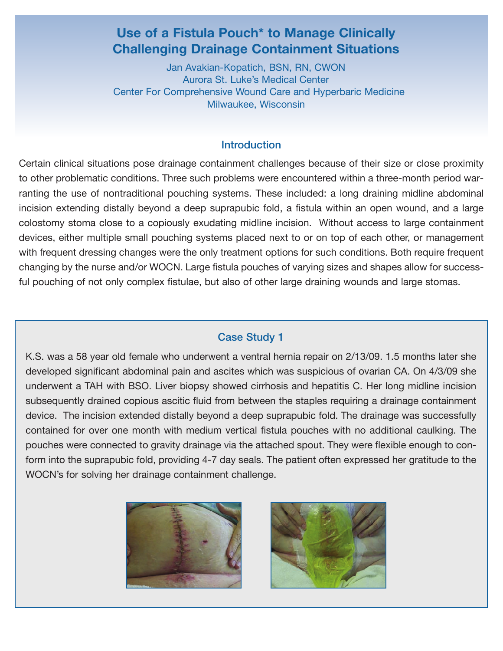# **Use of a Fistula Pouch\* to Manage Clinically Challenging Drainage Containment Situations**

Jan Avakian-Kopatich, BSN, RN, CWON Aurora St. Luke's Medical Center Center For Comprehensive Wound Care and Hyperbaric Medicine Milwaukee, Wisconsin

### **Introduction**

Certain clinical situations pose drainage containment challenges because of their size or close proximity to other problematic conditions. Three such problems were encountered within a three-month period warranting the use of nontraditional pouching systems. These included: a long draining midline abdominal incision extending distally beyond a deep suprapubic fold, a fistula within an open wound, and a large colostomy stoma close to a copiously exudating midline incision. Without access to large containment devices, either multiple small pouching systems placed next to or on top of each other, or management with frequent dressing changes were the only treatment options for such conditions. Both require frequent changing by the nurse and/or WOCN. Large fistula pouches of varying sizes and shapes allow for successful pouching of not only complex fistulae, but also of other large draining wounds and large stomas.

#### Case Study 1

K.S. was a 58 year old female who underwent a ventral hernia repair on 2/13/09. 1.5 months later she developed significant abdominal pain and ascites which was suspicious of ovarian CA. On 4/3/09 she underwent a TAH with BSO. Liver biopsy showed cirrhosis and hepatitis C. Her long midline incision subsequently drained copious ascitic fluid from between the staples requiring a drainage containment device. The incision extended distally beyond a deep suprapubic fold. The drainage was successfully contained for over one month with medium vertical fistula pouches with no additional caulking. The pouches were connected to gravity drainage via the attached spout. They were flexible enough to conform into the suprapubic fold, providing 4-7 day seals. The patient often expressed her gratitude to the WOCN's for solving her drainage containment challenge.